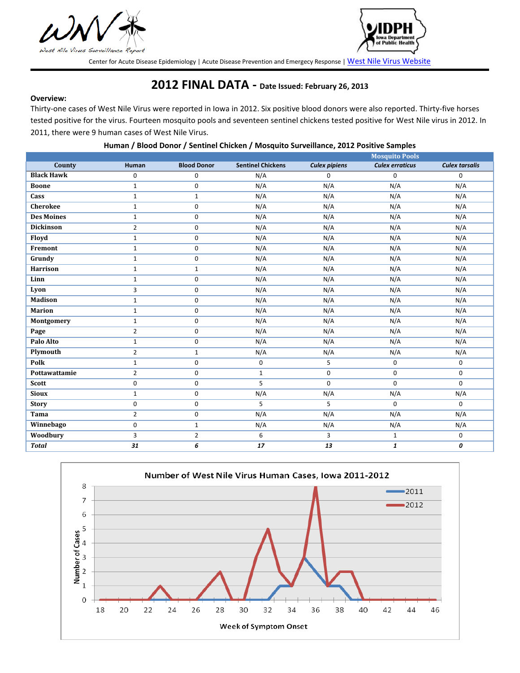



Center for Acute Disease Epidemiology | Acute Disease Prevention and Emergecy Response | [West Nile Virus Website](http://www.idph.state.ia.us/Cade/DiseaseIndex.aspx?disease=West%20Nile%20Virus)

## **2012 FINAL DATA - Date Issued: February 26, 2013**

## **Overview:**

Thirty-one cases of West Nile Virus were reported in Iowa in 2012. Six positive blood donors were also reported. Thirty-five horses tested positive for the virus. Fourteen mosquito pools and seventeen sentinel chickens tested positive for West Nile virus in 2012. In 2011, there were 9 human cases of West Nile Virus.

| Human / Blood Donor / Sentinel Chicken / Mosquito Surveillance, 2012 Positive Samples |  |  |
|---------------------------------------------------------------------------------------|--|--|
|---------------------------------------------------------------------------------------|--|--|

|                   |                |                    |                          |                      | <b>Mosquito Pools</b>  |                       |
|-------------------|----------------|--------------------|--------------------------|----------------------|------------------------|-----------------------|
| County            | <b>Human</b>   | <b>Blood Donor</b> | <b>Sentinel Chickens</b> | <b>Culex pipiens</b> | <b>Culex erraticus</b> | <b>Culex tarsalis</b> |
| <b>Black Hawk</b> | 0              | 0                  | N/A                      | $\mathbf 0$          | 0                      | $\mathbf 0$           |
| <b>Boone</b>      | $\mathbf{1}$   | $\mathbf 0$        | N/A                      | N/A                  | N/A                    | N/A                   |
| Cass              | $\mathbf{1}$   | $\mathbf{1}$       | N/A                      | N/A                  | N/A                    | N/A                   |
| <b>Cherokee</b>   | $\mathbf 1$    | 0                  | N/A                      | N/A                  | N/A                    | N/A                   |
| <b>Des Moines</b> | $1\,$          | 0                  | N/A                      | N/A                  | N/A                    | N/A                   |
| <b>Dickinson</b>  | $\overline{2}$ | 0                  | N/A                      | N/A                  | N/A                    | N/A                   |
| Floyd             | $\mathbf{1}$   | $\mathbf 0$        | N/A                      | N/A                  | N/A                    | N/A                   |
| Fremont           | $\mathbf{1}$   | 0                  | N/A                      | N/A                  | N/A                    | N/A                   |
| Grundy            | 1              | 0                  | N/A                      | N/A                  | N/A                    | N/A                   |
| Harrison          | $\mathbf{1}$   | $\mathbf{1}$       | N/A                      | N/A                  | N/A                    | N/A                   |
| Linn              | $\mathbf{1}$   | $\mathbf 0$        | N/A                      | N/A                  | N/A                    | N/A                   |
| Lyon              | 3              | 0                  | N/A                      | N/A                  | N/A                    | N/A                   |
| <b>Madison</b>    | $\mathbf{1}$   | 0                  | N/A                      | N/A                  | N/A                    | N/A                   |
| <b>Marion</b>     | $\mathbf{1}$   | $\mathbf 0$        | N/A                      | N/A                  | N/A                    | N/A                   |
| Montgomery        | $\mathbf{1}$   | 0                  | N/A                      | N/A                  | N/A                    | N/A                   |
| Page              | $\overline{2}$ | $\mathbf 0$        | N/A                      | N/A                  | N/A                    | N/A                   |
| Palo Alto         | $\mathbf{1}$   | 0                  | N/A                      | N/A                  | N/A                    | N/A                   |
| Plymouth          | $\overline{2}$ | $\mathbf{1}$       | N/A                      | N/A                  | N/A                    | N/A                   |
| Polk              | $\mathbf{1}$   | 0                  | 0                        | 5                    | $\mathbf 0$            | 0                     |
| Pottawattamie     | $\overline{2}$ | $\mathbf 0$        | $\mathbf{1}$             | 0                    | $\mathbf 0$            | $\mathbf 0$           |
| <b>Scott</b>      | 0              | $\mathbf 0$        | 5                        | $\mathbf 0$          | $\mathbf 0$            | $\mathbf 0$           |
| <b>Sioux</b>      | $\mathbf{1}$   | 0                  | N/A                      | N/A                  | N/A                    | N/A                   |
| <b>Story</b>      | 0              | 0                  | 5                        | 5                    | 0                      | $\mathbf 0$           |
| Tama              | $\overline{2}$ | 0                  | N/A                      | N/A                  | N/A                    | N/A                   |
| Winnebago         | 0              | $\mathbf{1}$       | N/A                      | N/A                  | N/A                    | N/A                   |
| Woodbury          | 3              | $\overline{2}$     | 6                        | 3                    | $\mathbf{1}$           | 0                     |
| <b>Total</b>      | 31             | 6                  | 17                       | 13                   | 1                      | 0                     |